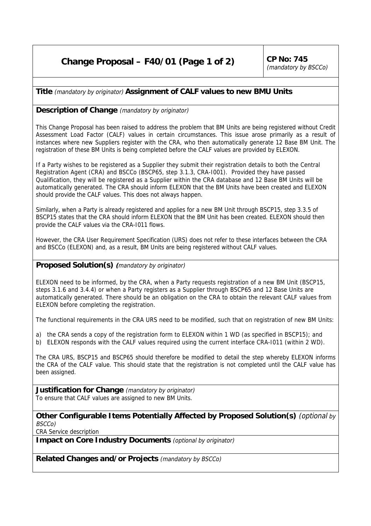## **Change Proposal – F40/01 (Page 1 of 2)** CP No: 745

## **Title** (mandatory by originator) **Assignment of CALF values to new BMU Units**

## **Description of Change** (mandatory by originator)

This Change Proposal has been raised to address the problem that BM Units are being registered without Credit Assessment Load Factor (CALF) values in certain circumstances. This issue arose primarily as a result of instances where new Suppliers register with the CRA, who then automatically generate 12 Base BM Unit. The registration of these BM Units is being completed before the CALF values are provided by ELEXON.

If a Party wishes to be registered as a Supplier they submit their registration details to both the Central Registration Agent (CRA) and BSCCo (BSCP65, step 3.1.3, CRA-I001). Provided they have passed Qualification, they will be registered as a Supplier within the CRA database and 12 Base BM Units will be automatically generated. The CRA should inform ELEXON that the BM Units have been created and ELEXON should provide the CALF values. This does not always happen.

Similarly, when a Party is already registered and applies for a new BM Unit through BSCP15, step 3.3.5 of BSCP15 states that the CRA should inform ELEXON that the BM Unit has been created. ELEXON should then provide the CALF values via the CRA-I011 flows.

However, the CRA User Requirement Specification (URS) does not refer to these interfaces between the CRA and BSCCo (ELEXON) and, as a result, BM Units are being registered without CALF values.

## **Proposed Solution(s) (**mandatory by originator)

ELEXON need to be informed, by the CRA, when a Party requests registration of a new BM Unit (BSCP15, steps 3.1.6 and 3.4.4) or when a Party registers as a Supplier through BSCP65 and 12 Base Units are automatically generated. There should be an obligation on the CRA to obtain the relevant CALF values from ELEXON before completing the registration.

The functional requirements in the CRA URS need to be modified, such that on registration of new BM Units:

- a) the CRA sends a copy of the registration form to ELEXON within 1 WD (as specified in BSCP15); and
- b) ELEXON responds with the CALF values required using the current interface CRA-I011 (within 2 WD).

The CRA URS, BSCP15 and BSCP65 should therefore be modified to detail the step whereby ELEXON informs the CRA of the CALF value. This should state that the registration is not completed until the CALF value has been assigned.

**Justification for Change** (mandatory by originator) To ensure that CALF values are assigned to new BM Units.

**Other Configurable Items Potentially Affected by Proposed Solution(s)** (optional by BSCCo)

CRA Service description

**Impact on Core Industry Documents** (optional by originator)

**Related Changes and/or Projects** (mandatory by BSCCo)